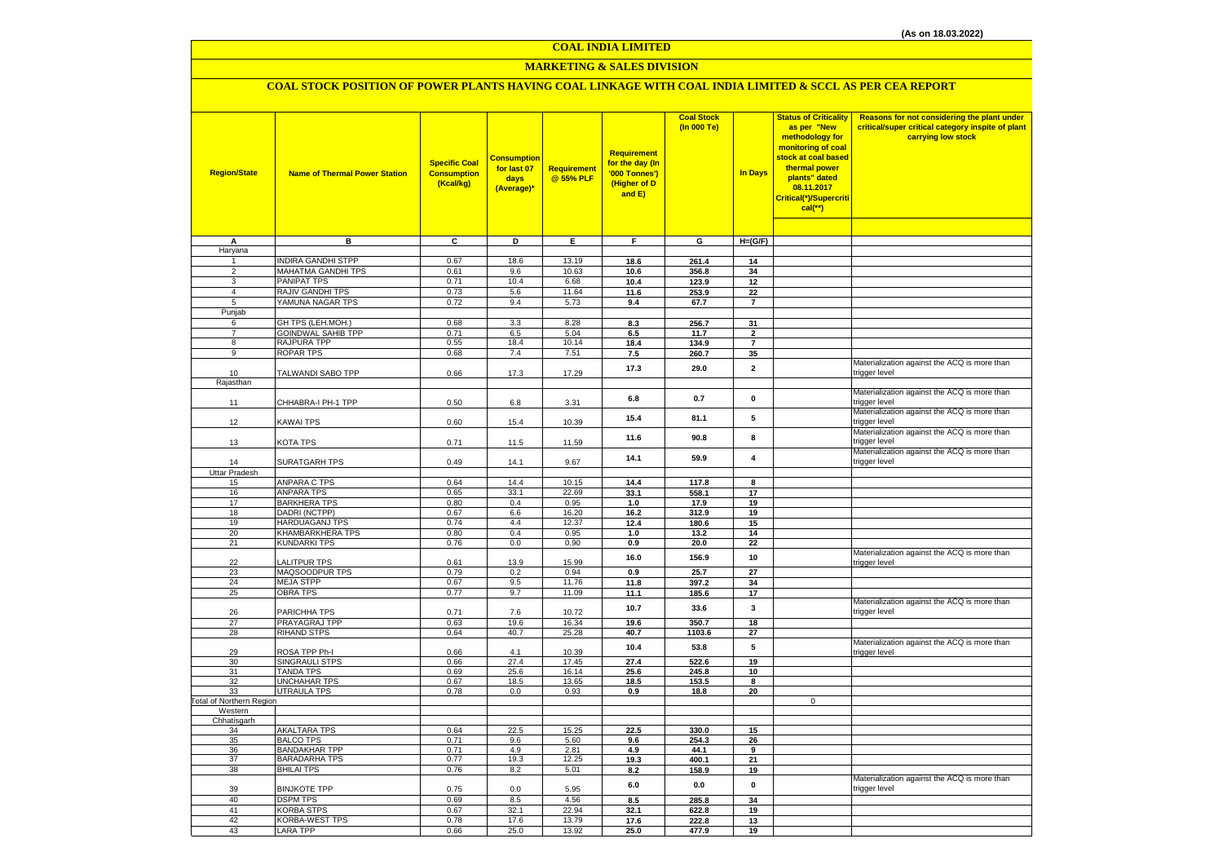#### **COAL INDIA LIMITED**

## **MARKETING & SALES DIVISION**

## **COAL STOCK POSITION OF POWER PLANTS HAVING COAL LINKAGE WITH COAL INDIA LIMITED & SCCL AS PER CEA REPORT**

| <b>Region/State</b>             | <b>Name of Thermal Power Station</b>      | <b>Specific Coal</b><br><b>Consumption</b><br>(Kcal/kg) | <b>Consumption</b><br>for last 07<br>days<br>(Average)* | Requirement<br>@ 55% PLF | <b>Requirement</b><br>for the day (In<br>'000 Tonnes')<br>(Higher of D<br>and E) | <b>Coal Stock</b><br>(In 000 Te) | <b>In Days</b>          | <b>Status of Criticality</b><br>as per "New<br>methodology for<br>monitoring of coal<br>stock at coal based<br>thermal power<br>plants" dated<br>08.11.2017<br>Critical(*)/Supercriti<br>$cal$ (**) | Reasons for not considering the plant under<br>critical/super critical category inspite of plant<br>carrying low stock |
|---------------------------------|-------------------------------------------|---------------------------------------------------------|---------------------------------------------------------|--------------------------|----------------------------------------------------------------------------------|----------------------------------|-------------------------|-----------------------------------------------------------------------------------------------------------------------------------------------------------------------------------------------------|------------------------------------------------------------------------------------------------------------------------|
| Α                               | в                                         | c                                                       | Þ                                                       | Ε                        | F                                                                                | G                                | $H=(G/F)$               |                                                                                                                                                                                                     |                                                                                                                        |
| Haryana                         |                                           |                                                         |                                                         |                          |                                                                                  |                                  |                         |                                                                                                                                                                                                     |                                                                                                                        |
| 1                               | <b>INDIRA GANDHI STPP</b>                 | 0.67                                                    | 18.6                                                    | 13.19                    | 18.6                                                                             | 261.4                            | 14                      |                                                                                                                                                                                                     |                                                                                                                        |
| $\overline{2}$                  | <b>MAHATMA GANDHI TPS</b>                 | 0.61                                                    | 9.6                                                     | 10.63                    | 10.6                                                                             | 356.8                            | 34                      |                                                                                                                                                                                                     |                                                                                                                        |
| 3                               | <b>PANIPAT TPS</b>                        | 0.71                                                    | 10.4                                                    | 6.68                     | 10.4                                                                             | 123.9                            | 12                      |                                                                                                                                                                                                     |                                                                                                                        |
| $\overline{a}$                  | RAJIV GANDHI TPS                          | 0.73                                                    | 5.6                                                     | 11.64                    | 11.6                                                                             | 253.9                            | 22                      |                                                                                                                                                                                                     |                                                                                                                        |
| 5                               | YAMUNA NAGAR TPS                          | 0.72                                                    | 9.4                                                     | 5.73                     | 9.4                                                                              | 67.7                             | $\overline{7}$          |                                                                                                                                                                                                     |                                                                                                                        |
| Punjab<br>6                     | GH TPS (LEH.MOH.)                         | 0.68                                                    | 3.3                                                     | 8.28                     | 8.3                                                                              | 256.7                            | 31                      |                                                                                                                                                                                                     |                                                                                                                        |
| $\overline{7}$                  | <b>GOINDWAL SAHIB TPP</b>                 | 0.71                                                    | 6.5                                                     | 5.04                     | 6.5                                                                              | 11.7                             | $\overline{2}$          |                                                                                                                                                                                                     |                                                                                                                        |
| 8                               | RAJPURA TPP                               | 0.55                                                    | 18.4                                                    | 10.14                    | 18.4                                                                             | 134.9                            | $\overline{7}$          |                                                                                                                                                                                                     |                                                                                                                        |
| 9                               | <b>ROPAR TPS</b>                          | 0.68                                                    | 7.4                                                     | 7.51                     | 7.5                                                                              | 260.7                            | 35                      |                                                                                                                                                                                                     |                                                                                                                        |
|                                 |                                           |                                                         |                                                         |                          | 17.3                                                                             | 29.0                             | $\overline{\mathbf{2}}$ |                                                                                                                                                                                                     | Materialization against the ACQ is more than                                                                           |
| 10                              | TALWANDI SABO TPP                         | 0.66                                                    | 17.3                                                    | 17.29                    |                                                                                  |                                  |                         |                                                                                                                                                                                                     | trigger level                                                                                                          |
| Rajasthan                       |                                           |                                                         |                                                         |                          |                                                                                  |                                  |                         |                                                                                                                                                                                                     | Materialization against the ACQ is more than                                                                           |
| 11                              | CHHABRA-I PH-1 TPP                        | 0.50                                                    | 6.8                                                     | 3.31                     | 6.8                                                                              | 0.7                              | 0                       |                                                                                                                                                                                                     | trigger level                                                                                                          |
|                                 |                                           |                                                         |                                                         |                          | 15.4                                                                             |                                  | 5                       |                                                                                                                                                                                                     | Materialization against the ACQ is more than                                                                           |
| 12                              | KAWAI TPS                                 | 0.60                                                    | 15.4                                                    | 10.39                    |                                                                                  | 81.1                             |                         |                                                                                                                                                                                                     | trigger level                                                                                                          |
|                                 |                                           |                                                         |                                                         |                          | 11.6                                                                             | 90.8                             | 8                       |                                                                                                                                                                                                     | Materialization against the ACQ is more than                                                                           |
| 13                              | KOTA TPS                                  | 0.71                                                    | 11.5                                                    | 11.59                    |                                                                                  |                                  |                         |                                                                                                                                                                                                     | trigger level<br>Materialization against the ACQ is more than                                                          |
| 14                              | SURATGARH TPS                             | 0.49                                                    | 14.1                                                    | 9.67                     | 14.1                                                                             | 59.9                             | 4                       |                                                                                                                                                                                                     | trigger level                                                                                                          |
| <b>Uttar Pradesh</b>            |                                           |                                                         |                                                         |                          |                                                                                  |                                  |                         |                                                                                                                                                                                                     |                                                                                                                        |
| 15                              | ANPARA C TPS                              | 0.64                                                    | 14.4                                                    | 10.15                    | 14.4                                                                             | 117.8                            | 8                       |                                                                                                                                                                                                     |                                                                                                                        |
| 16                              | <b>ANPARA TPS</b>                         | 0.65                                                    | 33.1                                                    | 22.69                    | 33.1                                                                             | 558.1                            | 17                      |                                                                                                                                                                                                     |                                                                                                                        |
| 17                              | <b>BARKHERA TPS</b>                       | 0.80                                                    | 0.4                                                     | 0.95                     | 1.0                                                                              | 17.9                             | 19                      |                                                                                                                                                                                                     |                                                                                                                        |
| 18                              | <b>DADRI (NCTPP)</b>                      | 0.67                                                    | 6.6                                                     | 16.20                    | 16.2                                                                             | 312.9                            | 19                      |                                                                                                                                                                                                     |                                                                                                                        |
| 19<br>20                        | <b>HARDUAGANJ TPS</b><br>KHAMBARKHERA TPS | 0.74                                                    | 4.4                                                     | 12.37                    | 12.4                                                                             | 180.6                            | 15                      |                                                                                                                                                                                                     |                                                                                                                        |
| 21                              | <b>KUNDARKI TPS</b>                       | 0.80<br>0.76                                            | 0.4<br>0.0                                              | 0.95<br>0.90             | 1.0<br>0.9                                                                       | 13.2<br>20.0                     | 14<br>22                |                                                                                                                                                                                                     |                                                                                                                        |
|                                 |                                           |                                                         |                                                         |                          |                                                                                  |                                  |                         |                                                                                                                                                                                                     | Materialization against the ACQ is more than                                                                           |
| 22                              | <b>LALITPUR TPS</b>                       | 0.61                                                    | 13.9                                                    | 15.99                    | 16.0                                                                             | 156.9                            | 10                      |                                                                                                                                                                                                     | trigger level                                                                                                          |
| 23                              | MAQSOODPUR TPS                            | 0.79                                                    | 0.2                                                     | 0.94                     | 0.9                                                                              | 25.7                             | 27                      |                                                                                                                                                                                                     |                                                                                                                        |
| 24                              | <b>MEJA STPP</b>                          | 0.67                                                    | 9.5                                                     | 11.76                    | 11.8                                                                             | 397.2                            | 34                      |                                                                                                                                                                                                     |                                                                                                                        |
| 25                              | <b>OBRA TPS</b>                           | 0.77                                                    | 9.7                                                     | 11.09                    | 11.1                                                                             | 185.6                            | 17                      |                                                                                                                                                                                                     | Materialization against the ACQ is more than                                                                           |
| 26                              | PARICHHA TPS                              | 0.71                                                    | 7.6                                                     | 10.72                    | 10.7                                                                             | 33.6                             | 3                       |                                                                                                                                                                                                     | trigger level                                                                                                          |
| 27                              | PRAYAGRAJ TPP                             | 0.63                                                    | 19.6                                                    | 16.34                    | 19.6                                                                             | 350.7                            | 18                      |                                                                                                                                                                                                     |                                                                                                                        |
| 28                              | RIHAND STPS                               | 0.64                                                    | 40.7                                                    | 25.28                    | 40.7                                                                             | 1103.6                           | 27                      |                                                                                                                                                                                                     |                                                                                                                        |
|                                 |                                           |                                                         |                                                         |                          | 10.4                                                                             | 53.8                             | 5                       |                                                                                                                                                                                                     | Materialization against the ACQ is more than                                                                           |
| 29                              | ROSA TPP Ph-I                             | 0.66                                                    | 4.1                                                     | 10.39                    |                                                                                  |                                  |                         |                                                                                                                                                                                                     | trigger level                                                                                                          |
| 30<br>31                        | SINGRAULI STPS<br><b>TANDA TPS</b>        | 0.66<br>0.69                                            | 27.4<br>25.6                                            | 17.45<br>16.14           | 27.4<br>25.6                                                                     | 522.6<br>245.8                   | 19<br>10                |                                                                                                                                                                                                     |                                                                                                                        |
| 32                              | <b>UNCHAHAR TPS</b>                       | 0.67                                                    | 18.5                                                    | 13.65                    | 18.5                                                                             | 153.5                            | 8                       |                                                                                                                                                                                                     |                                                                                                                        |
| 33                              | <b>UTRAULA TPS</b>                        | 0.78                                                    | 0.0                                                     | 0.93                     | 0.9                                                                              | 18.8                             | 20                      |                                                                                                                                                                                                     |                                                                                                                        |
| <b>Total of Northern Region</b> |                                           |                                                         |                                                         |                          |                                                                                  |                                  |                         | 0                                                                                                                                                                                                   |                                                                                                                        |
| Western                         |                                           |                                                         |                                                         |                          |                                                                                  |                                  |                         |                                                                                                                                                                                                     |                                                                                                                        |
| Chhatisgarh<br>34               | <b>AKALTARA TPS</b>                       | 0.64                                                    | 22.5                                                    |                          |                                                                                  |                                  |                         |                                                                                                                                                                                                     |                                                                                                                        |
| 35                              | <b>BALCO TPS</b>                          | 0.71                                                    | 9.6                                                     | 15.25<br>5.60            | 22.5<br>9.6                                                                      | 330.0<br>254.3                   | 15<br>26                |                                                                                                                                                                                                     |                                                                                                                        |
| 36                              | <b>BANDAKHAR TPP</b>                      | 0.71                                                    | 4.9                                                     | 2.81                     | 4.9                                                                              | 44.1                             | 9                       |                                                                                                                                                                                                     |                                                                                                                        |
| 37                              | <b>BARADARHA TPS</b>                      | 0.77                                                    | 19.3                                                    | 12.25                    | 19.3                                                                             | 400.1                            | 21                      |                                                                                                                                                                                                     |                                                                                                                        |
| 38                              | <b>BHILAI TPS</b>                         | 0.76                                                    | 8.2                                                     | 5.01                     | 8.2                                                                              | 158.9                            | 19                      |                                                                                                                                                                                                     |                                                                                                                        |
|                                 |                                           |                                                         |                                                         |                          | 6.0                                                                              | 0.0                              | 0                       |                                                                                                                                                                                                     | Materialization against the ACQ is more than                                                                           |
| 39                              | <b>BINJKOTE TPP</b>                       | 0.75                                                    | 0.0                                                     | 5.95                     |                                                                                  |                                  |                         |                                                                                                                                                                                                     | trigger level                                                                                                          |
| 40<br>41                        | <b>DSPM TPS</b><br><b>KORBA STPS</b>      | 0.69<br>0.67                                            | 8.5<br>32.1                                             | 4.56<br>22.94            | 8.5<br>32.1                                                                      | 285.8<br>622.8                   | 34<br>19                |                                                                                                                                                                                                     |                                                                                                                        |
| 42                              | KORBA-WEST TPS                            | 0.78                                                    | 17.6                                                    | 13.79                    | 17.6                                                                             | 222.8                            | 13                      |                                                                                                                                                                                                     |                                                                                                                        |
| 43                              | <b>LARA TPP</b>                           | 0.66                                                    | 25.0                                                    | 13.92                    | 25.0                                                                             | 477.9                            | 19                      |                                                                                                                                                                                                     |                                                                                                                        |
|                                 |                                           |                                                         |                                                         |                          |                                                                                  |                                  |                         |                                                                                                                                                                                                     |                                                                                                                        |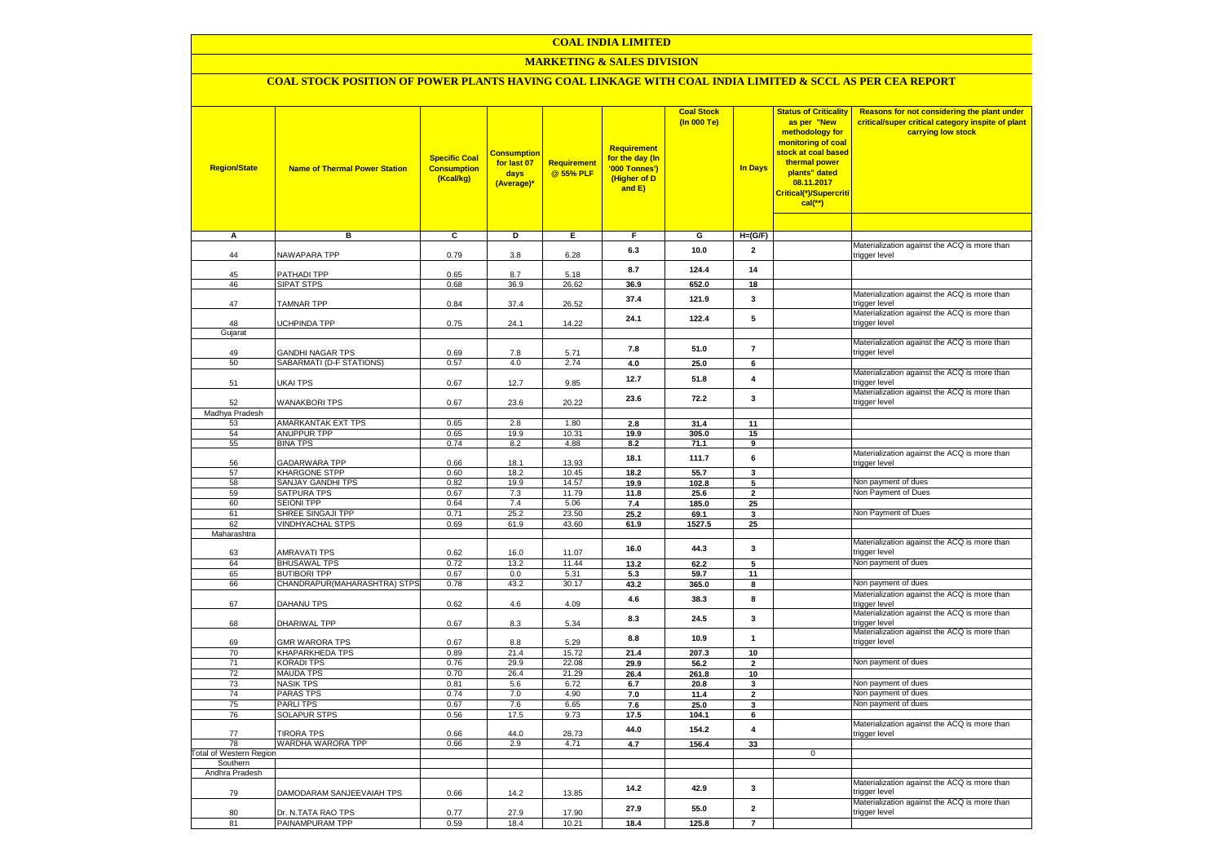## **COAL INDIA LIMITED**

## **MARKETING & SALES DIVISION**

# **COAL STOCK POSITION OF POWER PLANTS HAVING COAL LINKAGE WITH COAL INDIA LIMITED & SCCL AS PER CEA REPORT**

| <b>Region/State</b>                | <b>Name of Thermal Power Station</b>         | <b>Specific Coal</b><br><b>Consumption</b><br>(Kcal/kg) | <b>Consumption</b><br>for last 07<br>days<br>(Average)* | <b>Requirement</b><br>@ 55% PLF | <b>Requirement</b><br>for the day (In<br>'000 Tonnes')<br>(Higher of D<br>and E) | <b>Coal Stock</b><br>(In 000 Te) | <b>In Days</b>          | <b>Status of Criticality</b><br>as per "New<br>methodology for<br>monitoring of coal<br>stock at coal based<br>thermal power<br>plants" dated<br>08.11.2017<br>Critical(*)/Supercriti<br>$cal$ (**) | Reasons for not considering the plant under<br>critical/super critical category inspite of plant<br>carrying low stock |
|------------------------------------|----------------------------------------------|---------------------------------------------------------|---------------------------------------------------------|---------------------------------|----------------------------------------------------------------------------------|----------------------------------|-------------------------|-----------------------------------------------------------------------------------------------------------------------------------------------------------------------------------------------------|------------------------------------------------------------------------------------------------------------------------|
| $\overline{\mathsf{A}}$            | в                                            | ट                                                       | D                                                       | Έ                               | F                                                                                | G                                | $H=(G/F)$               |                                                                                                                                                                                                     |                                                                                                                        |
| 44                                 | NAWAPARA TPP                                 | 0.79                                                    | 3.8                                                     | 6.28                            | 6.3                                                                              | 10.0                             | $\overline{\mathbf{2}}$ |                                                                                                                                                                                                     | Materialization against the ACQ is more than<br>trigger level                                                          |
| 45                                 | PATHADI TPP                                  | 0.65                                                    | 8.7                                                     | 5.18                            | 8.7                                                                              | 124.4                            | 14                      |                                                                                                                                                                                                     |                                                                                                                        |
| 46                                 | <b>SIPAT STPS</b>                            | 0.68                                                    | 36.9                                                    | 26.62                           | 36.9                                                                             | 652.0                            | 18                      |                                                                                                                                                                                                     | Materialization against the ACQ is more than                                                                           |
| 47                                 | <b>TAMNAR TPP</b>                            | 0.84                                                    | 37.4                                                    | 26.52                           | 37.4                                                                             | 121.9                            | 3                       |                                                                                                                                                                                                     | trigger level<br>Materialization against the ACQ is more than                                                          |
| 48<br>Gujarat                      | UCHPINDA TPP                                 | 0.75                                                    | 24.1                                                    | 14.22                           | 24.1                                                                             | 122.4                            | 5                       |                                                                                                                                                                                                     | trigger level                                                                                                          |
|                                    |                                              |                                                         |                                                         |                                 |                                                                                  |                                  |                         |                                                                                                                                                                                                     | Materialization against the ACQ is more than                                                                           |
| 49<br>50                           | GANDHI NAGAR TPS<br>SABARMATI (D-F STATIONS) | 0.69<br>0.57                                            | 7.8<br>4.0                                              | 5.71<br>2.74                    | 7.8<br>4.0                                                                       | 51.0<br>25.0                     | $\overline{7}$<br>6     |                                                                                                                                                                                                     | trigger level                                                                                                          |
| 51                                 | UKAI TPS                                     | 0.67                                                    | 12.7                                                    | 9.85                            | 12.7                                                                             | 51.8                             | $\pmb{4}$               |                                                                                                                                                                                                     | Materialization against the ACQ is more than<br>trigger level                                                          |
| 52                                 | <b>WANAKBORI TPS</b>                         | 0.67                                                    | 23.6                                                    | 20.22                           | 23.6                                                                             | 72.2                             | $\mathbf{3}$            |                                                                                                                                                                                                     | Materialization against the ACQ is more than<br>trigger level                                                          |
| Madhya Pradesh                     |                                              |                                                         |                                                         |                                 |                                                                                  |                                  |                         |                                                                                                                                                                                                     |                                                                                                                        |
| 53                                 | AMARKANTAK EXT TPS                           | 0.65                                                    | 2.8                                                     | 1.80                            | 2.8                                                                              | 31.4                             | 11                      |                                                                                                                                                                                                     |                                                                                                                        |
| 54<br>55                           | ANUPPUR TPP<br><b>BINA TPS</b>               | 0.65<br>0.74                                            | 19.9<br>8.2                                             | 10.31                           | 19.9<br>8.2                                                                      | 305.0<br>71.1                    | 15<br>9                 |                                                                                                                                                                                                     |                                                                                                                        |
| 56                                 | <b>GADARWARA TPP</b>                         | 0.66                                                    | 18.1                                                    | 4.88<br>13.93                   | 18.1                                                                             | 111.7                            | 6                       |                                                                                                                                                                                                     | Materialization against the ACQ is more than<br>trigger level                                                          |
| 57                                 | <b>KHARGONE STPP</b>                         | 0.60                                                    | 18.2                                                    | 10.45                           | 18.2                                                                             | 55.7                             | $\overline{\mathbf{3}}$ |                                                                                                                                                                                                     |                                                                                                                        |
| 58                                 | SANJAY GANDHI TPS                            | 0.82                                                    | 19.9                                                    | 14.57                           | 19.9                                                                             | 102.8                            | 5                       |                                                                                                                                                                                                     | Non payment of dues                                                                                                    |
| 59                                 | SATPURA TPS                                  | 0.67                                                    | 7.3                                                     | 11.79                           | 11.8                                                                             | 25.6                             | $\overline{2}$          |                                                                                                                                                                                                     | Non Payment of Dues                                                                                                    |
| 60                                 | <b>SEIONI TPP</b>                            | 0.64                                                    | 7.4                                                     | 5.06                            | $7.4$                                                                            | 185.0                            | 25                      |                                                                                                                                                                                                     |                                                                                                                        |
| 61                                 | SHREE SINGAJI TPP                            | 0.71                                                    | 25.2                                                    | 23.50                           | 25.2                                                                             | 69.1                             | 3                       |                                                                                                                                                                                                     | Non Payment of Dues                                                                                                    |
| 62<br>Maharashtra                  | <b>VINDHYACHAL STPS</b>                      | 0.69                                                    | 61.9                                                    | 43.60                           | 61.9                                                                             | 1527.5                           | 25                      |                                                                                                                                                                                                     |                                                                                                                        |
| 63                                 | <b>AMRAVATI TPS</b>                          | 0.62                                                    | 16.0                                                    | 11.07                           | 16.0                                                                             | 44.3                             | $\mathbf{3}$            |                                                                                                                                                                                                     | Materialization against the ACQ is more than<br>trigger level                                                          |
| 64                                 | <b>BHUSAWAL TPS</b>                          | 0.72                                                    | 13.2                                                    | 11.44                           | 13.2                                                                             | 62.2                             | 5                       |                                                                                                                                                                                                     | Non payment of dues                                                                                                    |
| 65                                 | <b>BUTIBORI TPP</b>                          | 0.67                                                    | 0.0                                                     | 5.31                            | 5.3                                                                              | 59.7                             | 11                      |                                                                                                                                                                                                     |                                                                                                                        |
| 66                                 | CHANDRAPUR(MAHARASHTRA) STPS                 | 0.78                                                    | 43.2                                                    | 30.17                           | 43.2                                                                             | 365.0                            | 8                       |                                                                                                                                                                                                     | Non payment of dues                                                                                                    |
| 67                                 | DAHANU TPS                                   | 0.62                                                    | 4.6                                                     | 4.09                            | 4.6                                                                              | 38.3                             | 8                       |                                                                                                                                                                                                     | Materialization against the ACQ is more than<br>trigger level                                                          |
| 68                                 | DHARIWAL TPP                                 | 0.67                                                    | 8.3                                                     | 5.34                            | 8.3                                                                              | 24.5                             | $\overline{\mathbf{3}}$ |                                                                                                                                                                                                     | Materialization against the ACQ is more than<br>trigger level                                                          |
| 69                                 | <b>GMR WARORA TPS</b>                        | 0.67                                                    | 8.8                                                     | 5.29                            | 8.8                                                                              | 10.9                             | $\mathbf{1}$            |                                                                                                                                                                                                     | Materialization against the ACQ is more than<br>trigger level                                                          |
| 70<br>71                           | KHAPARKHEDA TPS<br><b>KORADI TPS</b>         | 0.89<br>0.76                                            | 21.4<br>29.9                                            | 15.72<br>22.08                  | 21.4                                                                             | 207.3                            | 10<br>$\mathbf{2}$      |                                                                                                                                                                                                     | Non payment of dues                                                                                                    |
| 72                                 | <b>MAUDA TPS</b>                             | 0.70                                                    | 26.4                                                    | 21.29                           | 29.9<br>26.4                                                                     | 56.2<br>261.8                    | 10                      |                                                                                                                                                                                                     |                                                                                                                        |
| 73                                 | <b>NASIK TPS</b>                             | 0.81                                                    | 5.6                                                     | 6.72                            | 6.7                                                                              | 20.8                             | 3                       |                                                                                                                                                                                                     | Non payment of dues                                                                                                    |
| 74                                 | PARAS TPS                                    | 0.74                                                    | 7.0                                                     | 4.90                            | 7.0                                                                              | 11.4                             | $\mathbf{2}$            |                                                                                                                                                                                                     | Non payment of dues                                                                                                    |
| 75                                 | <b>PARLITPS</b>                              | 0.67                                                    | 7.6                                                     | 6.65                            | 7.6                                                                              | 25.0                             | 3                       |                                                                                                                                                                                                     | Non payment of dues                                                                                                    |
| 76                                 | <b>SOLAPUR STPS</b>                          | 0.56                                                    | 17.5                                                    | 9.73                            | 17.5                                                                             | 104.1                            | 6                       |                                                                                                                                                                                                     |                                                                                                                        |
| 77                                 | <b>TIRORA TPS</b>                            | 0.66                                                    | 44.0                                                    | 28.73                           | 44.0                                                                             | 154.2                            | 4                       |                                                                                                                                                                                                     | Materialization against the ACQ is more than<br>trigger level                                                          |
| 78                                 | WARDHA WARORA TPP                            | 0.66                                                    | 2.9                                                     | 4.71                            | 4.7                                                                              | 156.4                            | 33                      |                                                                                                                                                                                                     |                                                                                                                        |
| otal of Western Region<br>Southern |                                              |                                                         |                                                         |                                 |                                                                                  |                                  |                         | 0                                                                                                                                                                                                   |                                                                                                                        |
| Andhra Pradesh                     |                                              |                                                         |                                                         |                                 |                                                                                  |                                  |                         |                                                                                                                                                                                                     |                                                                                                                        |
| 79                                 | DAMODARAM SANJEEVAIAH TPS                    | 0.66                                                    | 14.2                                                    | 13.85                           | 14.2                                                                             | 42.9                             | $\mathbf{3}$            |                                                                                                                                                                                                     | Materialization against the ACQ is more than<br>trigger level                                                          |
| 80                                 | Dr. N.TATA RAO TPS                           | 0.77                                                    | 27.9                                                    | 17.90                           | 27.9                                                                             | 55.0                             | $\mathbf{2}$            |                                                                                                                                                                                                     | Materialization against the ACQ is more than<br>trigger level                                                          |
| 81                                 | PAINAMPURAM TPP                              | 0.59                                                    | 18.4                                                    | 10.21                           | 18.4                                                                             | 125.8                            | $\overline{7}$          |                                                                                                                                                                                                     |                                                                                                                        |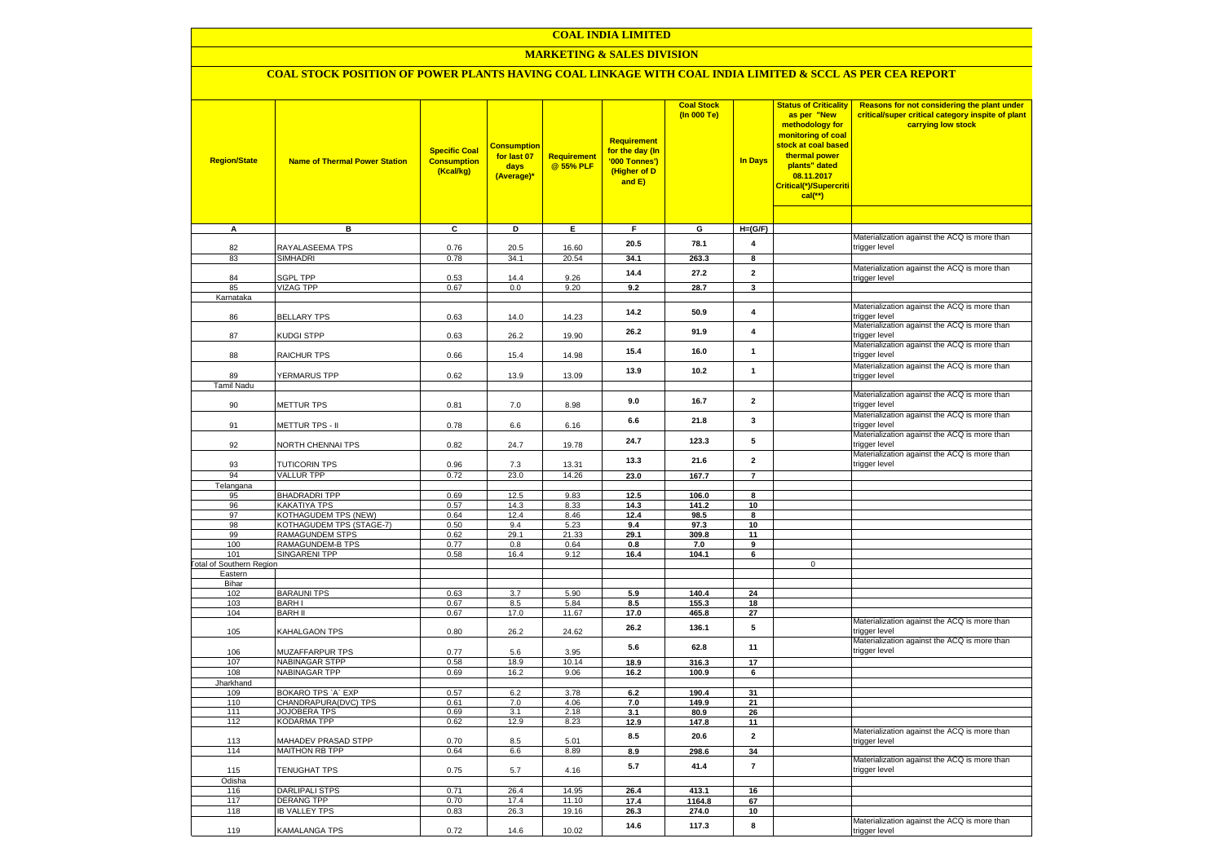## **COAL INDIA LIMITED**

## **MARKETING & SALES DIVISION**

## **COAL STOCK POSITION OF POWER PLANTS HAVING COAL LINKAGE WITH COAL INDIA LIMITED & SCCL AS PER CEA REPORT**

| <b>Region/State</b>             | <b>Name of Thermal Power Station</b>       | <b>Specific Coal</b><br><b>Consumption</b><br>(Kcal/kg) | <b>Consumption</b><br>for last 07<br>days<br>(Average)* | Requirement<br>@ 55% PLF | <b>Requirement</b><br>for the day (In<br>'000 Tonnes')<br>(Higher of D<br>and E) | <b>Coal Stock</b><br>(In 000 Te) | <b>In Days</b>          | <b>Status of Criticality</b><br>as per "New<br>methodology for<br>monitoring of coal<br>stock at coal based<br>thermal power<br>plants" dated<br>08.11.2017<br>Critical(*)/Supercriti<br>cal(**) | Reasons for not considering the plant under<br>critical/super critical category inspite of plant<br>carrying low stock |
|---------------------------------|--------------------------------------------|---------------------------------------------------------|---------------------------------------------------------|--------------------------|----------------------------------------------------------------------------------|----------------------------------|-------------------------|--------------------------------------------------------------------------------------------------------------------------------------------------------------------------------------------------|------------------------------------------------------------------------------------------------------------------------|
| $\overline{A}$                  | в                                          | c                                                       | Þ                                                       | E                        | F                                                                                | G                                | $H=(G/F)$               |                                                                                                                                                                                                  |                                                                                                                        |
|                                 |                                            |                                                         |                                                         |                          |                                                                                  |                                  |                         |                                                                                                                                                                                                  | Materialization against the ACQ is more than                                                                           |
| 82                              | RAYALASEEMA TPS                            | 0.76                                                    | 20.5                                                    | 16.60                    | 20.5                                                                             | 78.1                             | 4                       |                                                                                                                                                                                                  | trigger level                                                                                                          |
| 83                              | <b>SIMHADRI</b>                            | 0.78                                                    | 34.1                                                    | 20.54                    | 34.1                                                                             | 263.3                            | 8                       |                                                                                                                                                                                                  |                                                                                                                        |
|                                 |                                            |                                                         |                                                         |                          | 14.4                                                                             | 27.2                             | $\mathbf{2}$            |                                                                                                                                                                                                  | Materialization against the ACQ is more than                                                                           |
| 84                              | <b>SGPL TPP</b>                            | 0.53                                                    | 14.4                                                    | 9.26                     |                                                                                  |                                  |                         |                                                                                                                                                                                                  | trigger level                                                                                                          |
| 85<br>Karnataka                 | <b>VIZAG TPP</b>                           | 0.67                                                    | 0.0                                                     | 9.20                     | 9.2                                                                              | 28.7                             | 3                       |                                                                                                                                                                                                  |                                                                                                                        |
|                                 |                                            |                                                         |                                                         |                          |                                                                                  |                                  |                         |                                                                                                                                                                                                  | Materialization against the ACQ is more than                                                                           |
| 86                              | <b>BELLARY TPS</b>                         | 0.63                                                    | 14.0                                                    | 14.23                    | 14.2                                                                             | 50.9                             | $\overline{\mathbf{4}}$ |                                                                                                                                                                                                  | trigger level                                                                                                          |
|                                 |                                            |                                                         |                                                         |                          | 26.2                                                                             | 91.9                             | $\overline{4}$          |                                                                                                                                                                                                  | Materialization against the ACQ is more than                                                                           |
| 87                              | <b>KUDGI STPP</b>                          | 0.63                                                    | 26.2                                                    | 19.90                    |                                                                                  |                                  |                         |                                                                                                                                                                                                  | trigger level<br>Materialization against the ACQ is more than                                                          |
| 88                              | RAICHUR TPS                                | 0.66                                                    | 15.4                                                    | 14.98                    | 15.4                                                                             | 16.0                             | $\mathbf{1}$            |                                                                                                                                                                                                  | trigger level                                                                                                          |
|                                 |                                            |                                                         |                                                         |                          |                                                                                  |                                  |                         |                                                                                                                                                                                                  | Materialization against the ACQ is more than                                                                           |
| 89                              | YERMARUS TPP                               | 0.62                                                    | 13.9                                                    | 13.09                    | 13.9                                                                             | 10.2                             | $\mathbf{1}$            |                                                                                                                                                                                                  | trigger level                                                                                                          |
| <b>Tamil Nadu</b>               |                                            |                                                         |                                                         |                          |                                                                                  |                                  |                         |                                                                                                                                                                                                  |                                                                                                                        |
|                                 |                                            |                                                         |                                                         |                          | 9.0                                                                              | 16.7                             | $\mathbf{2}$            |                                                                                                                                                                                                  | Materialization against the ACQ is more than                                                                           |
| 90                              | <b>METTUR TPS</b>                          | 0.81                                                    | 7.0                                                     | 8.98                     |                                                                                  |                                  |                         |                                                                                                                                                                                                  | trigger level<br>Materialization against the ACQ is more than                                                          |
| 91                              | METTUR TPS - II                            | 0.78                                                    | 6.6                                                     | 6.16                     | 6.6                                                                              | 21.8                             | 3                       |                                                                                                                                                                                                  | trigger level                                                                                                          |
|                                 |                                            |                                                         |                                                         |                          |                                                                                  |                                  |                         |                                                                                                                                                                                                  | Materialization against the ACQ is more than                                                                           |
| 92                              | NORTH CHENNAI TPS                          | 0.82                                                    | 24.7                                                    | 19.78                    | 24.7                                                                             | 123.3                            | 5                       |                                                                                                                                                                                                  | trigger level                                                                                                          |
|                                 |                                            |                                                         |                                                         |                          | 13.3                                                                             | 21.6                             | $\mathbf{2}$            |                                                                                                                                                                                                  | Materialization against the ACQ is more than                                                                           |
| 93                              | <b>TUTICORIN TPS</b>                       | 0.96                                                    | 7.3                                                     | 13.31                    |                                                                                  |                                  |                         |                                                                                                                                                                                                  | trigger level                                                                                                          |
| 94<br>Telangana                 | <b>VALLUR TPP</b>                          | 0.72                                                    | 23.0                                                    | 14.26                    | 23.0                                                                             | 167.7                            | $\overline{7}$          |                                                                                                                                                                                                  |                                                                                                                        |
| 95                              | <b>BHADRADRI TPP</b>                       | 0.69                                                    | 12.5                                                    | 9.83                     | 12.5                                                                             | 106.0                            | 8                       |                                                                                                                                                                                                  |                                                                                                                        |
| 96                              | KAKATIYA TPS                               | 0.57                                                    | 14.3                                                    | 8.33                     | 14.3                                                                             | 141.2                            | 10                      |                                                                                                                                                                                                  |                                                                                                                        |
| 97                              | KOTHAGUDEM TPS (NEW)                       | 0.64                                                    | 12.4                                                    | 8.46                     | 12.4                                                                             | 98.5                             | 8                       |                                                                                                                                                                                                  |                                                                                                                        |
| 98                              | KOTHAGUDEM TPS (STAGE-7)                   | 0.50                                                    | 9.4                                                     | 5.23                     | 9.4                                                                              | 97.3                             | 10                      |                                                                                                                                                                                                  |                                                                                                                        |
| 99<br>100                       | <b>RAMAGUNDEM STPS</b><br>RAMAGUNDEM-B TPS | 0.62<br>0.77                                            | 29.1<br>0.8                                             | 21.33                    | 29.1<br>0.8                                                                      | 309.8                            | 11<br>9                 |                                                                                                                                                                                                  |                                                                                                                        |
| 101                             | SINGARENI TPP                              | 0.58                                                    | 16.4                                                    | 0.64<br>9.12             | 16.4                                                                             | 7.0<br>104.1                     | 6                       |                                                                                                                                                                                                  |                                                                                                                        |
| <b>Total of Southern Region</b> |                                            |                                                         |                                                         |                          |                                                                                  |                                  |                         | $\mathbf 0$                                                                                                                                                                                      |                                                                                                                        |
| Eastern                         |                                            |                                                         |                                                         |                          |                                                                                  |                                  |                         |                                                                                                                                                                                                  |                                                                                                                        |
| Bihar                           |                                            |                                                         |                                                         |                          |                                                                                  |                                  |                         |                                                                                                                                                                                                  |                                                                                                                        |
| 102                             | <b>BARAUNI TPS</b>                         | 0.63                                                    | 3.7                                                     | 5.90                     | 5.9                                                                              | 140.4                            | 24                      |                                                                                                                                                                                                  |                                                                                                                        |
| 103<br>104                      | <b>BARHI</b><br><b>BARH II</b>             | 0.67<br>0.67                                            | 8.5<br>17.0                                             | 5.84<br>11.67            | 8.5<br>17.0                                                                      | 155.3<br>465.8                   | 18<br>27                |                                                                                                                                                                                                  |                                                                                                                        |
|                                 |                                            |                                                         |                                                         |                          |                                                                                  |                                  |                         |                                                                                                                                                                                                  | Materialization against the ACQ is more than                                                                           |
| 105                             | KAHALGAON TPS                              | 0.80                                                    | 26.2                                                    | 24.62                    | 26.2                                                                             | 136.1                            | 5                       |                                                                                                                                                                                                  | trigger level                                                                                                          |
|                                 |                                            |                                                         |                                                         |                          | 5.6                                                                              | 62.8                             | 11                      |                                                                                                                                                                                                  | Materialization against the ACQ is more than                                                                           |
| 106<br>107                      | MUZAFFARPUR TPS<br>NABINAGAR STPP          | 0.77<br>0.58                                            | 5.6<br>18.9                                             | 3.95<br>10.14            | 18.9                                                                             | 316.3                            | 17                      |                                                                                                                                                                                                  | trigger level                                                                                                          |
| 108                             | NABINAGAR TPP                              | 0.69                                                    | 16.2                                                    | 9.06                     | 16.2                                                                             | 100.9                            | 6                       |                                                                                                                                                                                                  |                                                                                                                        |
| Jharkhand                       |                                            |                                                         |                                                         |                          |                                                                                  |                                  |                         |                                                                                                                                                                                                  |                                                                                                                        |
| 109                             | BOKARO TPS `A` EXP                         | 0.57                                                    | 6.2                                                     | 3.78                     | 6.2                                                                              | 190.4                            | 31                      |                                                                                                                                                                                                  |                                                                                                                        |
| 110                             | CHANDRAPURA(DVC) TPS                       | 0.61                                                    | 7.0                                                     | 4.06                     | 7.0                                                                              | 149.9                            | 21                      |                                                                                                                                                                                                  |                                                                                                                        |
| 111<br>112                      | <b>JOJOBERA TPS</b><br><b>KODARMA TPP</b>  | 0.69<br>0.62                                            | 3.1<br>12.9                                             | 2.18<br>8.23             | 3.1<br>12.9                                                                      | 80.9                             | 26<br>11                |                                                                                                                                                                                                  |                                                                                                                        |
|                                 |                                            |                                                         |                                                         |                          |                                                                                  | 147.8                            |                         |                                                                                                                                                                                                  | Materialization against the ACQ is more than                                                                           |
| 113                             | MAHADEV PRASAD STPP                        | 0.70                                                    | 8.5                                                     | 5.01                     | 8.5                                                                              | 20.6                             | $\mathbf{2}$            |                                                                                                                                                                                                  | rigger level                                                                                                           |
| 114                             | <b>MAITHON RB TPP</b>                      | 0.64                                                    | 6.6                                                     | 8.89                     | 8.9                                                                              | 298.6                            | 34                      |                                                                                                                                                                                                  |                                                                                                                        |
|                                 |                                            |                                                         |                                                         |                          | 5.7                                                                              | 41.4                             | $\overline{7}$          |                                                                                                                                                                                                  | Materialization against the ACQ is more than                                                                           |
| 115                             | TENUGHAT TPS                               | 0.75                                                    | 5.7                                                     | 4.16                     |                                                                                  |                                  |                         |                                                                                                                                                                                                  | trigger level                                                                                                          |
| Odisha<br>116                   | <b>DARLIPALI STPS</b>                      | 0.71                                                    | 26.4                                                    | 14.95                    | 26.4                                                                             | 413.1                            | 16                      |                                                                                                                                                                                                  |                                                                                                                        |
| 117                             | <b>DERANG TPP</b>                          | 0.70                                                    | 17.4                                                    | 11.10                    | 17.4                                                                             | 1164.8                           | 67                      |                                                                                                                                                                                                  |                                                                                                                        |
| 118                             | <b>IB VALLEY TPS</b>                       | 0.83                                                    | 26.3                                                    | 19.16                    | 26.3                                                                             | 274.0                            | 10                      |                                                                                                                                                                                                  |                                                                                                                        |
|                                 |                                            |                                                         |                                                         |                          | 14.6                                                                             | 117.3                            | 8                       |                                                                                                                                                                                                  | Materialization against the ACQ is more than                                                                           |
| 119                             | KAMALANGA TPS                              | 0.72                                                    | 14.6                                                    | 10.02                    |                                                                                  |                                  |                         |                                                                                                                                                                                                  | trigger level                                                                                                          |